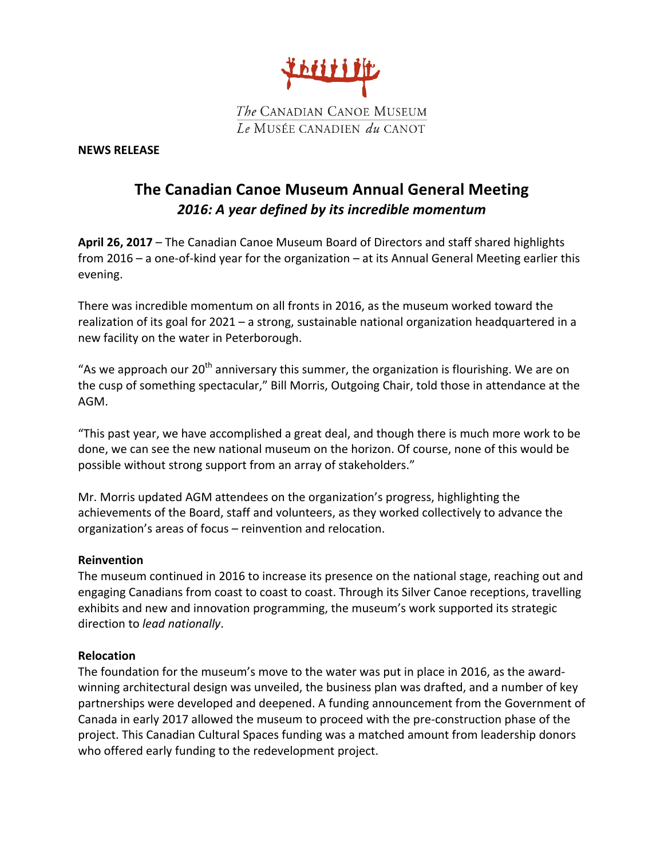

#### **NEWS RELEASE**

# **The Canadian Canoe Museum Annual General Meeting** 2016: A year defined by its incredible momentum

**April 26, 2017** – The Canadian Canoe Museum Board of Directors and staff shared highlights from 2016 – a one-of-kind year for the organization – at its Annual General Meeting earlier this evening.

There was incredible momentum on all fronts in 2016, as the museum worked toward the realization of its goal for 2021 - a strong, sustainable national organization headquartered in a new facility on the water in Peterborough.

"As we approach our  $20<sup>th</sup>$  anniversary this summer, the organization is flourishing. We are on the cusp of something spectacular," Bill Morris, Outgoing Chair, told those in attendance at the AGM.

"This past year, we have accomplished a great deal, and though there is much more work to be done, we can see the new national museum on the horizon. Of course, none of this would be possible without strong support from an array of stakeholders."

Mr. Morris updated AGM attendees on the organization's progress, highlighting the achievements of the Board, staff and volunteers, as they worked collectively to advance the organization's areas of focus – reinvention and relocation.

## **Reinvention**

The museum continued in 2016 to increase its presence on the national stage, reaching out and engaging Canadians from coast to coast to coast. Through its Silver Canoe receptions, travelling exhibits and new and innovation programming, the museum's work supported its strategic direction to *lead nationally*.

#### **Relocation**

The foundation for the museum's move to the water was put in place in 2016, as the awardwinning architectural design was unveiled, the business plan was drafted, and a number of key partnerships were developed and deepened. A funding announcement from the Government of Canada in early 2017 allowed the museum to proceed with the pre-construction phase of the project. This Canadian Cultural Spaces funding was a matched amount from leadership donors who offered early funding to the redevelopment project.